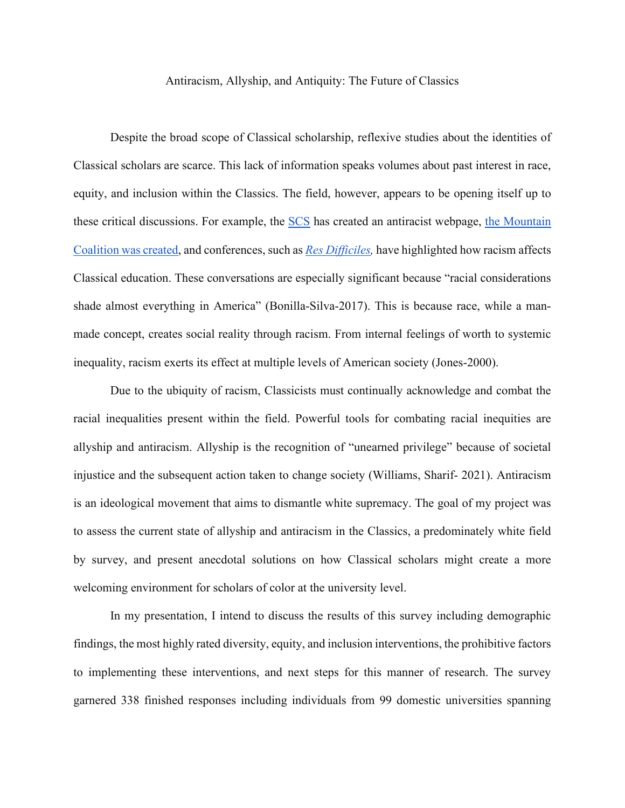## Antiracism, Allyship, and Antiquity: The Future of Classics

Despite the broad scope of Classical scholarship, reflexive studies about the identities of Classical scholars are scarce. This lack of information speaks volumes about past interest in race, equity, and inclusion within the Classics. The field, however, appears to be opening itself up to these critical discussions. For example, the [SCS](https://classicalstudies.org/education/antiracist-resources-links-and-lists) has created an antiracist webpage, the Mountain [Coalition was created,](https://www.mountaintopcoalition.org/) and conferences, such as *[Res Difficiles,](https://resdifficiles.com/)* have highlighted how racism affects Classical education. These conversations are especially significant because "racial considerations shade almost everything in America" (Bonilla-Silva-2017). This is because race, while a manmade concept, creates social reality through racism. From internal feelings of worth to systemic inequality, racism exerts its effect at multiple levels of American society (Jones-2000).

Due to the ubiquity of racism, Classicists must continually acknowledge and combat the racial inequalities present within the field. Powerful tools for combating racial inequities are allyship and antiracism. Allyship is the recognition of "unearned privilege" because of societal injustice and the subsequent action taken to change society (Williams, Sharif- 2021). Antiracism is an ideological movement that aims to dismantle white supremacy. The goal of my project was to assess the current state of allyship and antiracism in the Classics, a predominately white field by survey, and present anecdotal solutions on how Classical scholars might create a more welcoming environment for scholars of color at the university level.

In my presentation, I intend to discuss the results of this survey including demographic findings, the most highly rated diversity, equity, and inclusion interventions, the prohibitive factors to implementing these interventions, and next steps for this manner of research. The survey garnered 338 finished responses including individuals from 99 domestic universities spanning